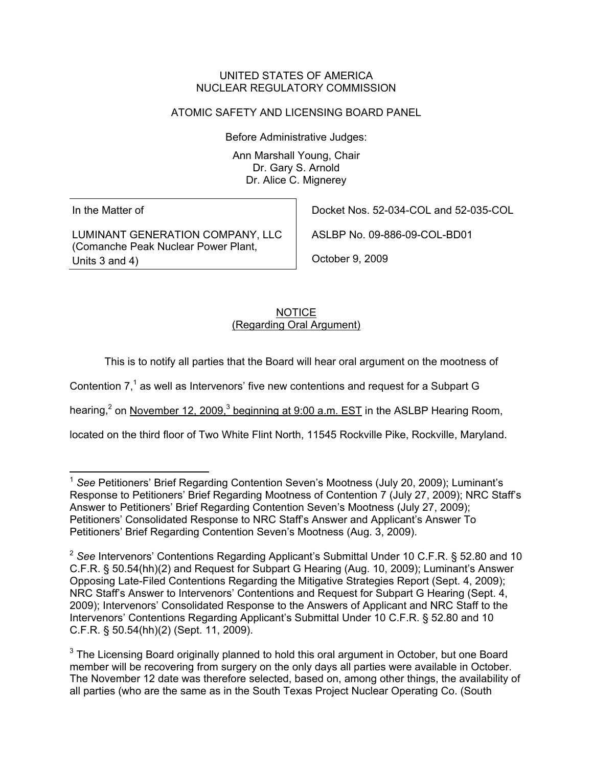#### UNITED STATES OF AMERICA NUCLEAR REGULATORY COMMISSION

# ATOMIC SAFETY AND LICENSING BOARD PANEL

Before Administrative Judges:

Ann Marshall Young, Chair Dr. Gary S. Arnold Dr. Alice C. Mignerey

In the Matter of

LUMINANT GENERATION COMPANY, LLC (Comanche Peak Nuclear Power Plant, Units 3 and 4)

Docket Nos. 52-034-COL and 52-035-COL

ASLBP No. 09-886-09-COL-BD01

October 9, 2009

# **NOTICE** (Regarding Oral Argument)

This is to notify all parties that the Board will hear oral argument on the mootness of

Contention  $7<sup>1</sup>$  as well as Intervenors' five new contentions and request for a Subpart G

hearing,<sup>2</sup> on November 12, 2009,<sup>3</sup> beginning at 9:00 a.m. EST in the ASLBP Hearing Room,

located on the third floor of Two White Flint North, 11545 Rockville Pike, Rockville, Maryland.

 <sup>1</sup> *See* Petitioners' Brief Regarding Contention Seven's Mootness (July 20, 2009); Luminant's Response to Petitioners' Brief Regarding Mootness of Contention 7 (July 27, 2009); NRC Staff's Answer to Petitioners' Brief Regarding Contention Seven's Mootness (July 27, 2009); Petitioners' Consolidated Response to NRC Staff's Answer and Applicant's Answer To Petitioners' Brief Regarding Contention Seven's Mootness (Aug. 3, 2009).

<sup>2</sup> *See* Intervenors' Contentions Regarding Applicant's Submittal Under 10 C.F.R. § 52.80 and 10 C.F.R. § 50.54(hh)(2) and Request for Subpart G Hearing (Aug. 10, 2009); Luminant's Answer Opposing Late-Filed Contentions Regarding the Mitigative Strategies Report (Sept. 4, 2009); NRC Staff's Answer to Intervenors' Contentions and Request for Subpart G Hearing (Sept. 4, 2009); Intervenors' Consolidated Response to the Answers of Applicant and NRC Staff to the Intervenors' Contentions Regarding Applicant's Submittal Under 10 C.F.R. § 52.80 and 10 C.F.R. § 50.54(hh)(2) (Sept. 11, 2009).

 $3$  The Licensing Board originally planned to hold this oral argument in October, but one Board member will be recovering from surgery on the only days all parties were available in October. The November 12 date was therefore selected, based on, among other things, the availability of all parties (who are the same as in the South Texas Project Nuclear Operating Co. (South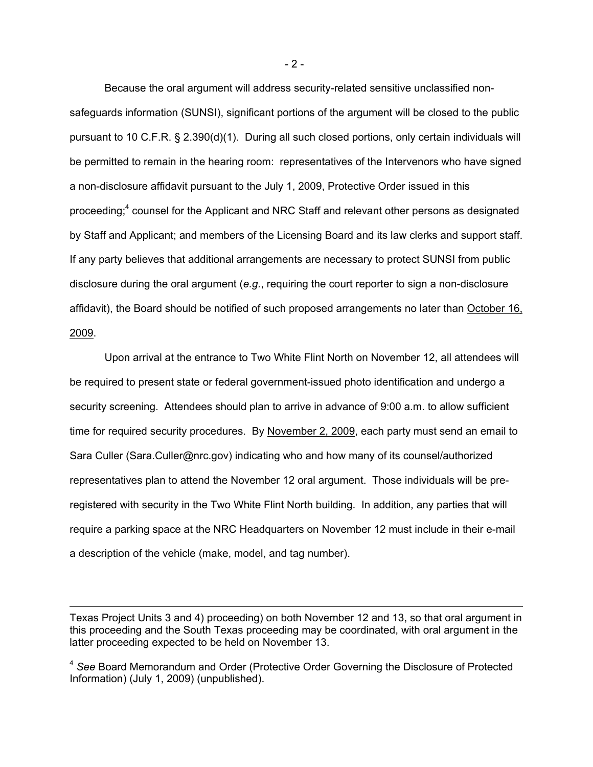Because the oral argument will address security-related sensitive unclassified nonsafeguards information (SUNSI), significant portions of the argument will be closed to the public pursuant to 10 C.F.R. § 2.390(d)(1). During all such closed portions, only certain individuals will be permitted to remain in the hearing room: representatives of the Intervenors who have signed a non-disclosure affidavit pursuant to the July 1, 2009, Protective Order issued in this proceeding;<sup>4</sup> counsel for the Applicant and NRC Staff and relevant other persons as designated by Staff and Applicant; and members of the Licensing Board and its law clerks and support staff. If any party believes that additional arrangements are necessary to protect SUNSI from public disclosure during the oral argument (*e.g.*, requiring the court reporter to sign a non-disclosure affidavit), the Board should be notified of such proposed arrangements no later than October 16, 2009.

Upon arrival at the entrance to Two White Flint North on November 12, all attendees will be required to present state or federal government-issued photo identification and undergo a security screening. Attendees should plan to arrive in advance of 9:00 a.m. to allow sufficient time for required security procedures. By November 2, 2009, each party must send an email to Sara Culler (Sara.Culler@nrc.gov) indicating who and how many of its counsel/authorized representatives plan to attend the November 12 oral argument. Those individuals will be preregistered with security in the Two White Flint North building. In addition, any parties that will require a parking space at the NRC Headquarters on November 12 must include in their e-mail a description of the vehicle (make, model, and tag number).

-

- 2 -

Texas Project Units 3 and 4) proceeding) on both November 12 and 13, so that oral argument in this proceeding and the South Texas proceeding may be coordinated, with oral argument in the latter proceeding expected to be held on November 13.

<sup>4</sup> *See* Board Memorandum and Order (Protective Order Governing the Disclosure of Protected Information) (July 1, 2009) (unpublished).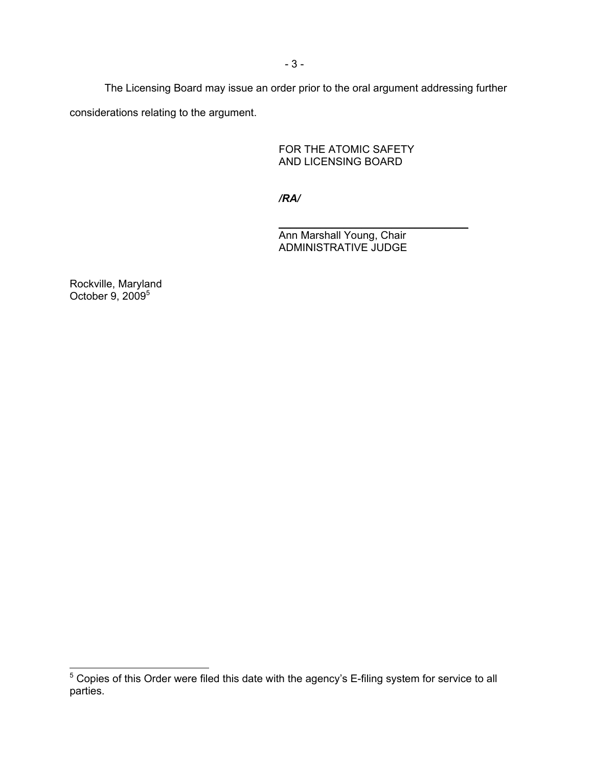The Licensing Board may issue an order prior to the oral argument addressing further considerations relating to the argument.

> FOR THE ATOMIC SAFETY AND LICENSING BOARD

 */RA/* 

\_\_\_\_\_\_\_\_\_\_\_\_\_\_\_\_\_\_\_\_\_\_\_\_\_\_\_\_\_\_\_\_ Ann Marshall Young, Chair ADMINISTRATIVE JUDGE

Rockville, Maryland October 9, 2009<sup>5</sup>

 5 Copies of this Order were filed this date with the agency's E-filing system for service to all parties.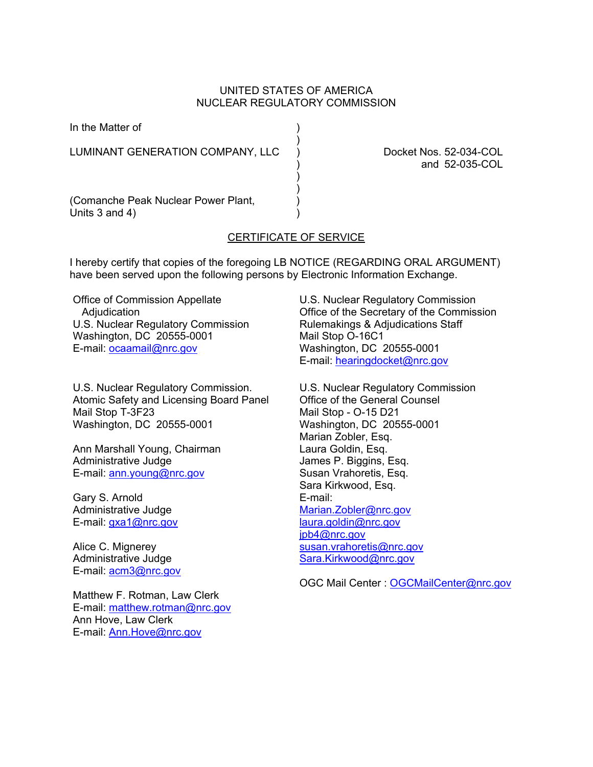#### UNITED STATES OF AMERICA NUCLEAR REGULATORY COMMISSION

)

In the Matter of (1)

LUMINANT GENERATION COMPANY, LLC ) Docket Nos. 52-034-COL

 $)$ ) and the contract of  $\mathcal{L}$ 

) and 52-035-COL

(Comanche Peak Nuclear Power Plant, ) Units  $3$  and  $4$ )

### CERTIFICATE OF SERVICE

I hereby certify that copies of the foregoing LB NOTICE (REGARDING ORAL ARGUMENT) have been served upon the following persons by Electronic Information Exchange.

Office of Commission Appellate **Adjudication** U.S. Nuclear Regulatory Commission Washington, DC 20555-0001 E-mail: ocaamail@nrc.gov

U.S. Nuclear Regulatory Commission. Atomic Safety and Licensing Board Panel Mail Stop T-3F23 Washington, DC 20555-0001

Ann Marshall Young, Chairman Administrative Judge E-mail: ann.young@nrc.gov

Gary S. Arnold Administrative Judge E-mail: gxa1@nrc.gov

Alice C. Mignerey Administrative Judge E-mail: acm3@nrc.gov

Matthew F. Rotman, Law Clerk E-mail: matthew.rotman@nrc.gov Ann Hove, Law Clerk E-mail: **Ann.Hove@nrc.gov** 

U.S. Nuclear Regulatory Commission Office of the Secretary of the Commission Rulemakings & Adjudications Staff Mail Stop O-16C1 Washington, DC 20555-0001 E-mail: hearingdocket@nrc.gov

U.S. Nuclear Regulatory Commission Office of the General Counsel Mail Stop - O-15 D21 Washington, DC 20555-0001 Marian Zobler, Esq. Laura Goldin, Esq. James P. Biggins, Esq. Susan Vrahoretis, Esq. Sara Kirkwood, Esq. E-mail: Marian.Zobler@nrc.gov laura.goldin@nrc.gov jpb4@nrc.gov susan.vrahoretis@nrc.gov Sara.Kirkwood@nrc.gov

OGC Mail Center : OGCMailCenter@nrc.gov